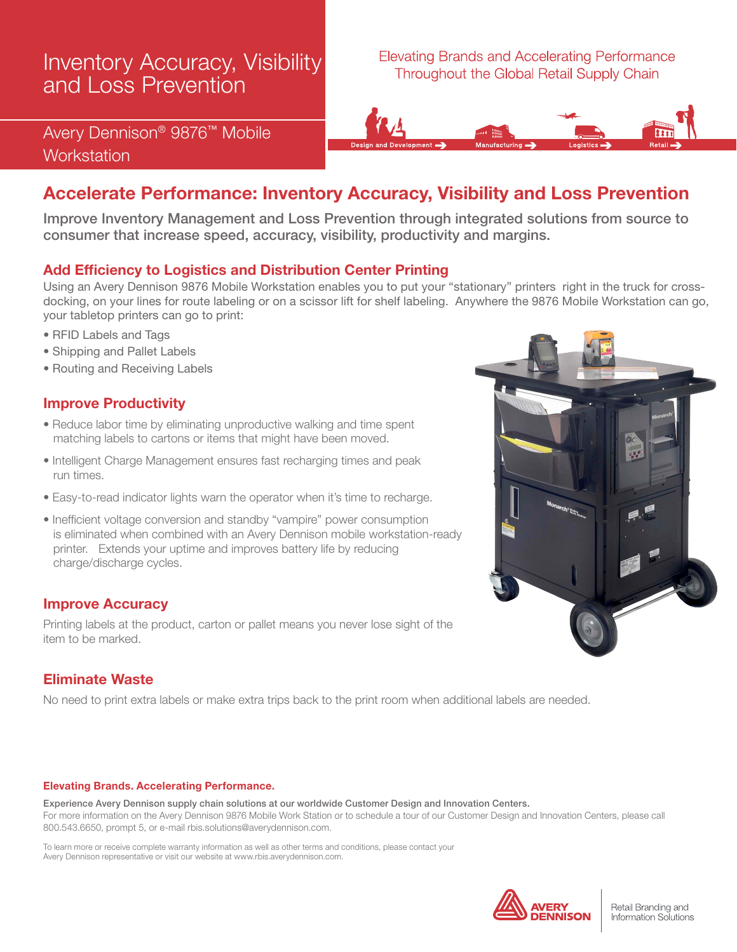# Inventory Accuracy, Visibility and Loss Prevention

Avery Dennison® 9876™ Mobile **Workstation** 

## Elevating Brands and Accelerating Performance Throughout the Global Retail Supply Chain



## Accelerate Performance: Inventory Accuracy, Visibility and Loss Prevention

Improve Inventory Management and Loss Prevention through integrated solutions from source to consumer that increase speed, accuracy, visibility, productivity and margins.

### Add Efficiency to Logistics and Distribution Center Printing

Using an Avery Dennison 9876 Mobile Workstation enables you to put your "stationary" printers right in the truck for crossdocking, on your lines for route labeling or on a scissor lift for shelf labeling. Anywhere the 9876 Mobile Workstation can go, your tabletop printers can go to print:

- RFID Labels and Tags
- Shipping and Pallet Labels
- Routing and Receiving Labels

## Improve Productivity

- Reduce labor time by eliminating unproductive walking and time spent matching labels to cartons or items that might have been moved.
- Intelligent Charge Management ensures fast recharging times and peak run times.
- Easy-to-read indicator lights warn the operator when it's time to recharge.
- Inefficient voltage conversion and standby "vampire" power consumption is eliminated when combined with an Avery Dennison mobile workstation-ready printer. Extends your uptime and improves battery life by reducing charge/discharge cycles.

### Improve Accuracy

Printing labels at the product, carton or pallet means you never lose sight of the item to be marked.

## Eliminate Waste

No need to print extra labels or make extra trips back to the print room when additional labels are needed.

### Elevating Brands. Accelerating Performance.

Experience Avery Dennison supply chain solutions at our worldwide Customer Design and Innovation Centers. For more information on the Avery Dennison 9876 Mobile Work Station or to schedule a tour of our Customer Design and Innovation Centers, please call 800.543.6650, prompt 5, or e-mail rbis.solutions@averydennison.com.

To learn more or receive complete warranty information as well as other terms and conditions, please contact your Avery Dennison representative or visit our website at www.rbis.averydennison.com.